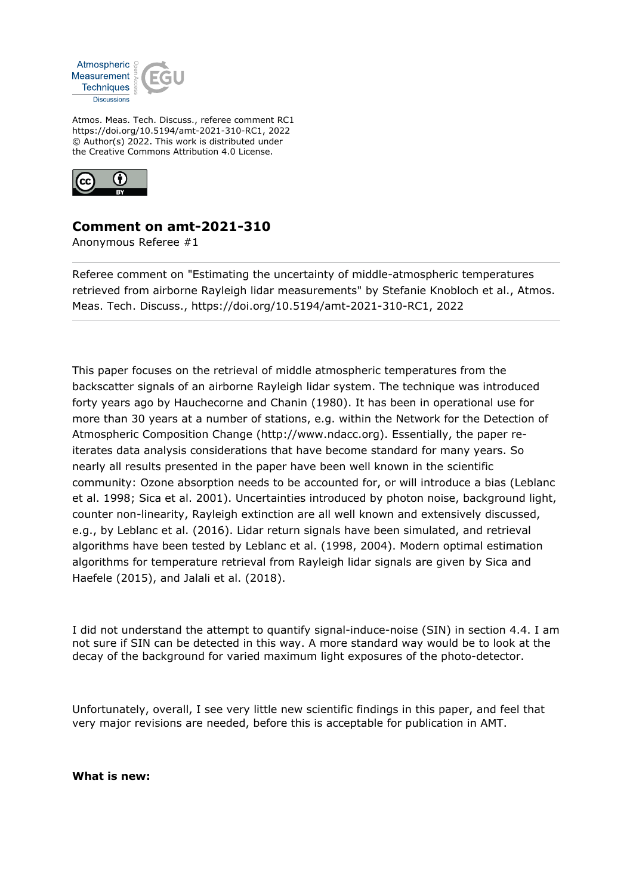

Atmos. Meas. Tech. Discuss., referee comment RC1 https://doi.org/10.5194/amt-2021-310-RC1, 2022 © Author(s) 2022. This work is distributed under the Creative Commons Attribution 4.0 License.



## **Comment on amt-2021-310**

Anonymous Referee #1

Referee comment on "Estimating the uncertainty of middle-atmospheric temperatures retrieved from airborne Rayleigh lidar measurements" by Stefanie Knobloch et al., Atmos. Meas. Tech. Discuss., https://doi.org/10.5194/amt-2021-310-RC1, 2022

This paper focuses on the retrieval of middle atmospheric temperatures from the backscatter signals of an airborne Rayleigh lidar system. The technique was introduced forty years ago by Hauchecorne and Chanin (1980). It has been in operational use for more than 30 years at a number of stations, e.g. within the Network for the Detection of Atmospheric Composition Change (http://www.ndacc.org). Essentially, the paper reiterates data analysis considerations that have become standard for many years. So nearly all results presented in the paper have been well known in the scientific community: Ozone absorption needs to be accounted for, or will introduce a bias (Leblanc et al. 1998; Sica et al. 2001). Uncertainties introduced by photon noise, background light, counter non-linearity, Rayleigh extinction are all well known and extensively discussed, e.g., by Leblanc et al. (2016). Lidar return signals have been simulated, and retrieval algorithms have been tested by Leblanc et al. (1998, 2004). Modern optimal estimation algorithms for temperature retrieval from Rayleigh lidar signals are given by Sica and Haefele (2015), and Jalali et al. (2018).

I did not understand the attempt to quantify signal-induce-noise (SIN) in section 4.4. I am not sure if SIN can be detected in this way. A more standard way would be to look at the decay of the background for varied maximum light exposures of the photo-detector.

Unfortunately, overall, I see very little new scientific findings in this paper, and feel that very major revisions are needed, before this is acceptable for publication in AMT.

**What is new:**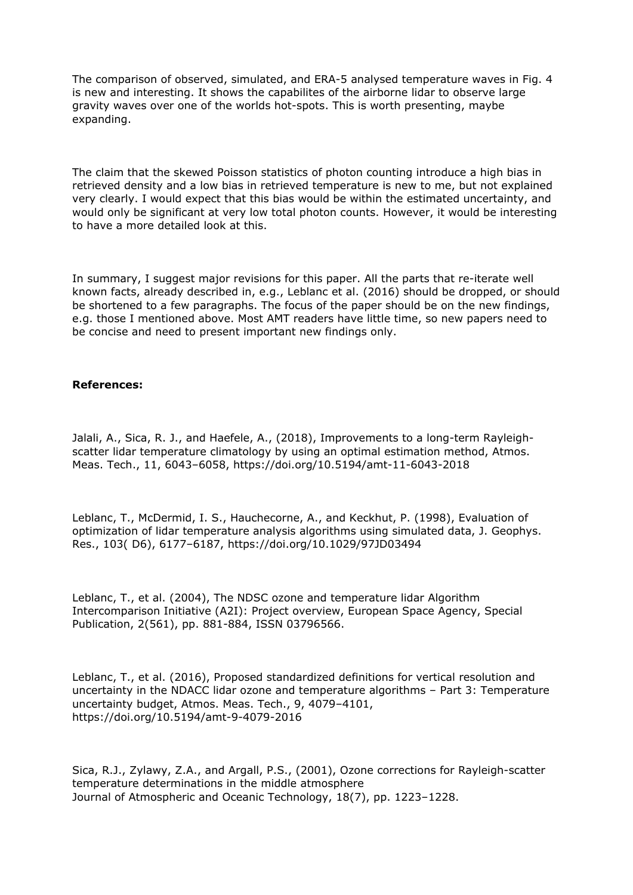The comparison of observed, simulated, and ERA-5 analysed temperature waves in Fig. 4 is new and interesting. It shows the capabilites of the airborne lidar to observe large gravity waves over one of the worlds hot-spots. This is worth presenting, maybe expanding.

The claim that the skewed Poisson statistics of photon counting introduce a high bias in retrieved density and a low bias in retrieved temperature is new to me, but not explained very clearly. I would expect that this bias would be within the estimated uncertainty, and would only be significant at very low total photon counts. However, it would be interesting to have a more detailed look at this.

In summary, I suggest major revisions for this paper. All the parts that re-iterate well known facts, already described in, e.g., Leblanc et al. (2016) should be dropped, or should be shortened to a few paragraphs. The focus of the paper should be on the new findings, e.g. those I mentioned above. Most AMT readers have little time, so new papers need to be concise and need to present important new findings only.

## **References:**

Jalali, A., Sica, R. J., and Haefele, A., (2018), Improvements to a long-term Rayleighscatter lidar temperature climatology by using an optimal estimation method, Atmos. Meas. Tech., 11, 6043–6058, https://doi.org/10.5194/amt-11-6043-2018

Leblanc, T., McDermid, I. S., Hauchecorne, A., and Keckhut, P. (1998), Evaluation of optimization of lidar temperature analysis algorithms using simulated data, J. Geophys. Res., 103( D6), 6177–6187, https://doi.org/10.1029/97JD03494

Leblanc, T., et al. (2004), The NDSC ozone and temperature lidar Algorithm Intercomparison Initiative (A2I): Project overview, European Space Agency, Special Publication, 2(561), pp. 881-884, ISSN 03796566.

Leblanc, T., et al. (2016), Proposed standardized definitions for vertical resolution and uncertainty in the NDACC lidar ozone and temperature algorithms – Part 3: Temperature uncertainty budget, Atmos. Meas. Tech., 9, 4079–4101, https://doi.org/10.5194/amt-9-4079-2016

Sica, R.J., Zylawy, Z.A., and Argall, P.S., (2001), Ozone corrections for Rayleigh-scatter temperature determinations in the middle atmosphere Journal of Atmospheric and Oceanic Technology, 18(7), pp. 1223–1228.